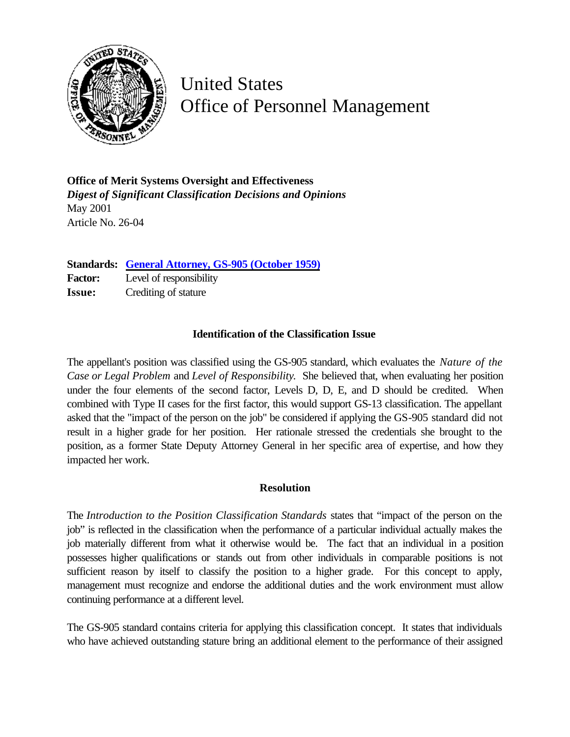

United States Office of Personnel Management

**Office of Merit Systems Oversight and Effectiveness** *Digest of Significant Classification Decisions and Opinions* May 2001 Article No. 26-04

**Standards: [General Attorney, GS-905 \(October 1959\)](http://www.opm.gov/fedclass/gs0905.pdf)**

**Factor:** Level of responsibility **Issue:** Crediting of stature

## **Identification of the Classification Issue**

The appellant's position was classified using the GS-905 standard, which evaluates the *Nature of the Case or Legal Problem* and *Level of Responsibility*. She believed that, when evaluating her position under the four elements of the second factor, Levels D, D, E, and D should be credited. When combined with Type II cases for the first factor, this would support GS-13 classification. The appellant asked that the "impact of the person on the job" be considered if applying the GS-905 standard did not result in a higher grade for her position. Her rationale stressed the credentials she brought to the position, as a former State Deputy Attorney General in her specific area of expertise, and how they impacted her work.

## **Resolution**

The *Introduction to the Position Classification Standards* states that "impact of the person on the job" is reflected in the classification when the performance of a particular individual actually makes the job materially different from what it otherwise would be. The fact that an individual in a position possesses higher qualifications or stands out from other individuals in comparable positions is not sufficient reason by itself to classify the position to a higher grade. For this concept to apply, management must recognize and endorse the additional duties and the work environment must allow continuing performance at a different level.

The GS-905 standard contains criteria for applying this classification concept. It states that individuals who have achieved outstanding stature bring an additional element to the performance of their assigned